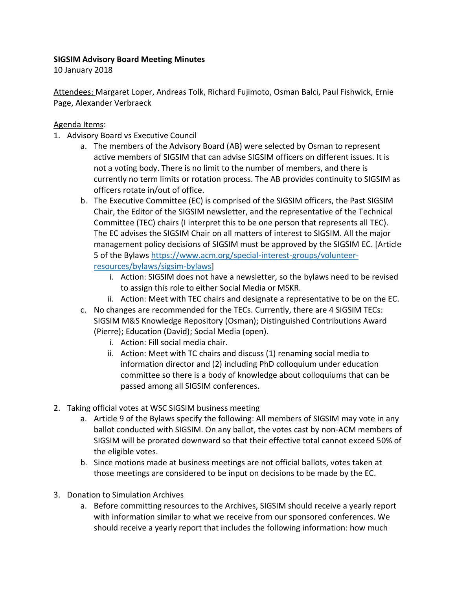## **SIGSIM Advisory Board Meeting Minutes**

10 January 2018

Attendees: Margaret Loper, Andreas Tolk, Richard Fujimoto, Osman Balci, Paul Fishwick, Ernie Page, Alexander Verbraeck

## Agenda Items:

- 1. Advisory Board vs Executive Council
	- a. The members of the Advisory Board (AB) were selected by Osman to represent active members of SIGSIM that can advise SIGSIM officers on different issues. It is not a voting body. There is no limit to the number of members, and there is currently no term limits or rotation process. The AB provides continuity to SIGSIM as officers rotate in/out of office.
	- b. The Executive Committee (EC) is comprised of the SIGSIM officers, the Past SIGSIM Chair, the Editor of the SIGSIM newsletter, and the representative of the Technical Committee (TEC) chairs (I interpret this to be one person that represents all TEC). The EC advises the SIGSIM Chair on all matters of interest to SIGSIM. All the major management policy decisions of SIGSIM must be approved by the SIGSIM EC. [Article 5 of the Bylaws [https://www.acm.org/special-interest-groups/volunteer](https://www.acm.org/special-interest-groups/volunteer-resources/bylaws/sigsim-bylaws)[resources/bylaws/sigsim-bylaws\]](https://www.acm.org/special-interest-groups/volunteer-resources/bylaws/sigsim-bylaws)
		- i. Action: SIGSIM does not have a newsletter, so the bylaws need to be revised to assign this role to either Social Media or MSKR.
		- ii. Action: Meet with TEC chairs and designate a representative to be on the EC.
	- c. No changes are recommended for the TECs. Currently, there are 4 SIGSIM TECs: SIGSIM M&S Knowledge Repository (Osman); Distinguished Contributions Award (Pierre); Education (David); Social Media (open).
		- i. Action: Fill social media chair.
		- ii. Action: Meet with TC chairs and discuss (1) renaming social media to information director and (2) including PhD colloquium under education committee so there is a body of knowledge about colloquiums that can be passed among all SIGSIM conferences.
- 2. Taking official votes at WSC SIGSIM business meeting
	- a. Article 9 of the Bylaws specify the following: All members of SIGSIM may vote in any ballot conducted with SIGSIM. On any ballot, the votes cast by non-ACM members of SIGSIM will be prorated downward so that their effective total cannot exceed 50% of the eligible votes.
	- b. Since motions made at business meetings are not official ballots, votes taken at those meetings are considered to be input on decisions to be made by the EC.
- 3. Donation to Simulation Archives
	- a. Before committing resources to the Archives, SIGSIM should receive a yearly report with information similar to what we receive from our sponsored conferences. We should receive a yearly report that includes the following information: how much